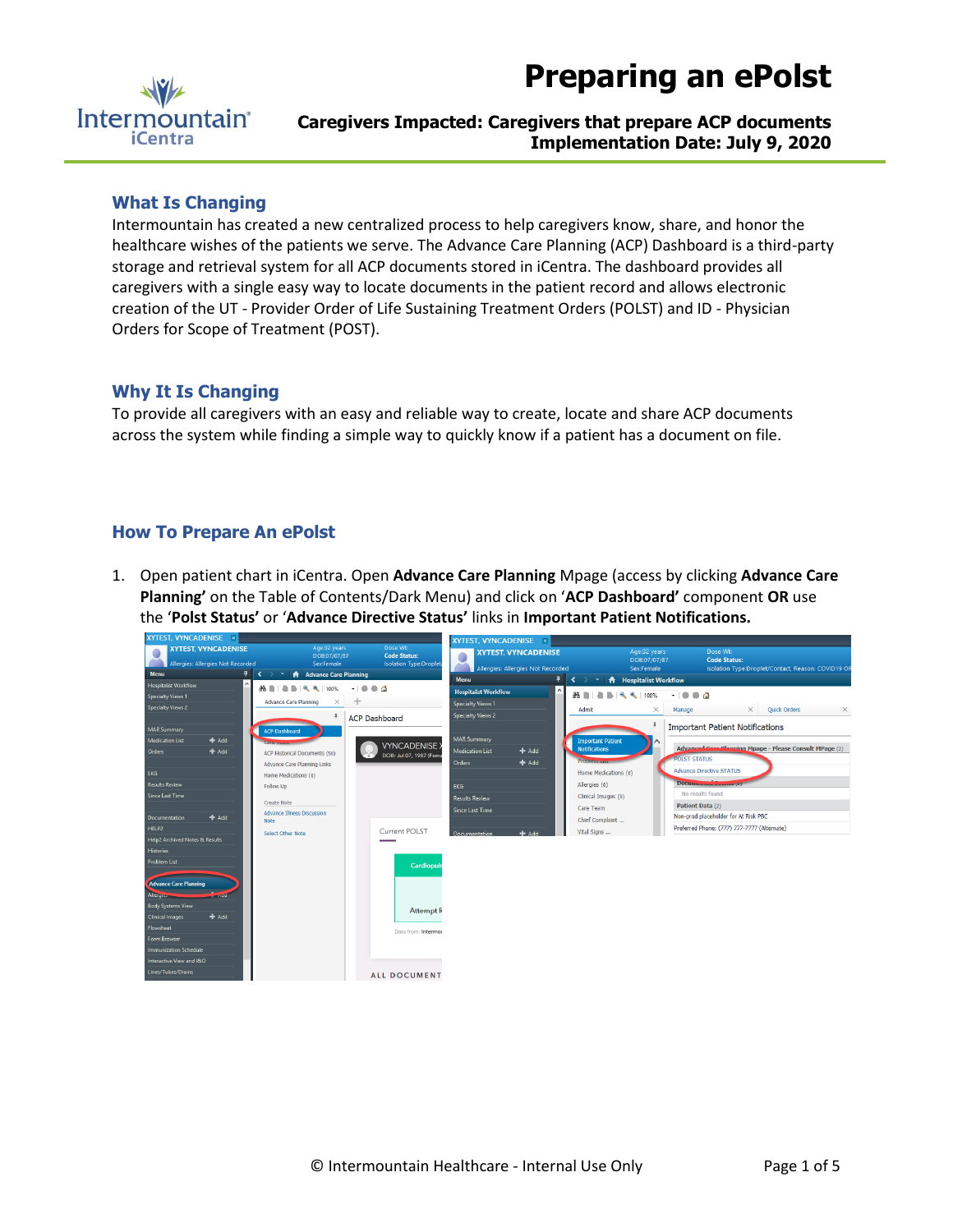



# **Caregivers Impacted: Caregivers that prepare ACP documents Implementation Date: July 9, 2020**

### **What Is Changing**

Intermountain has created a new centralized process to help caregivers know, share, and honor the healthcare wishes of the patients we serve. The Advance Care Planning (ACP) Dashboard is a third-party storage and retrieval system for all ACP documents stored in iCentra. The dashboard provides all caregivers with a single easy way to locate documents in the patient record and allows electronic creation of the UT - Provider Order of Life Sustaining Treatment Orders (POLST) and ID - Physician Orders for Scope of Treatment (POST).

#### **Why It Is Changing**

To provide all caregivers with an easy and reliable way to create, locate and share ACP documents across the system while finding a simple way to quickly know if a patient has a document on file.

## **How To Prepare An ePolst**

1. Open patient chart in iCentra. Open **Advance Care Planning** Mpage (access by clicking **Advance Care Planning'** on the Table of Contents/Dark Menu) and click on '**ACP Dashboard'** component **OR** use the '**Polst Status'** or '**Advance Directive Status'** links in **Important Patient Notifications.** 

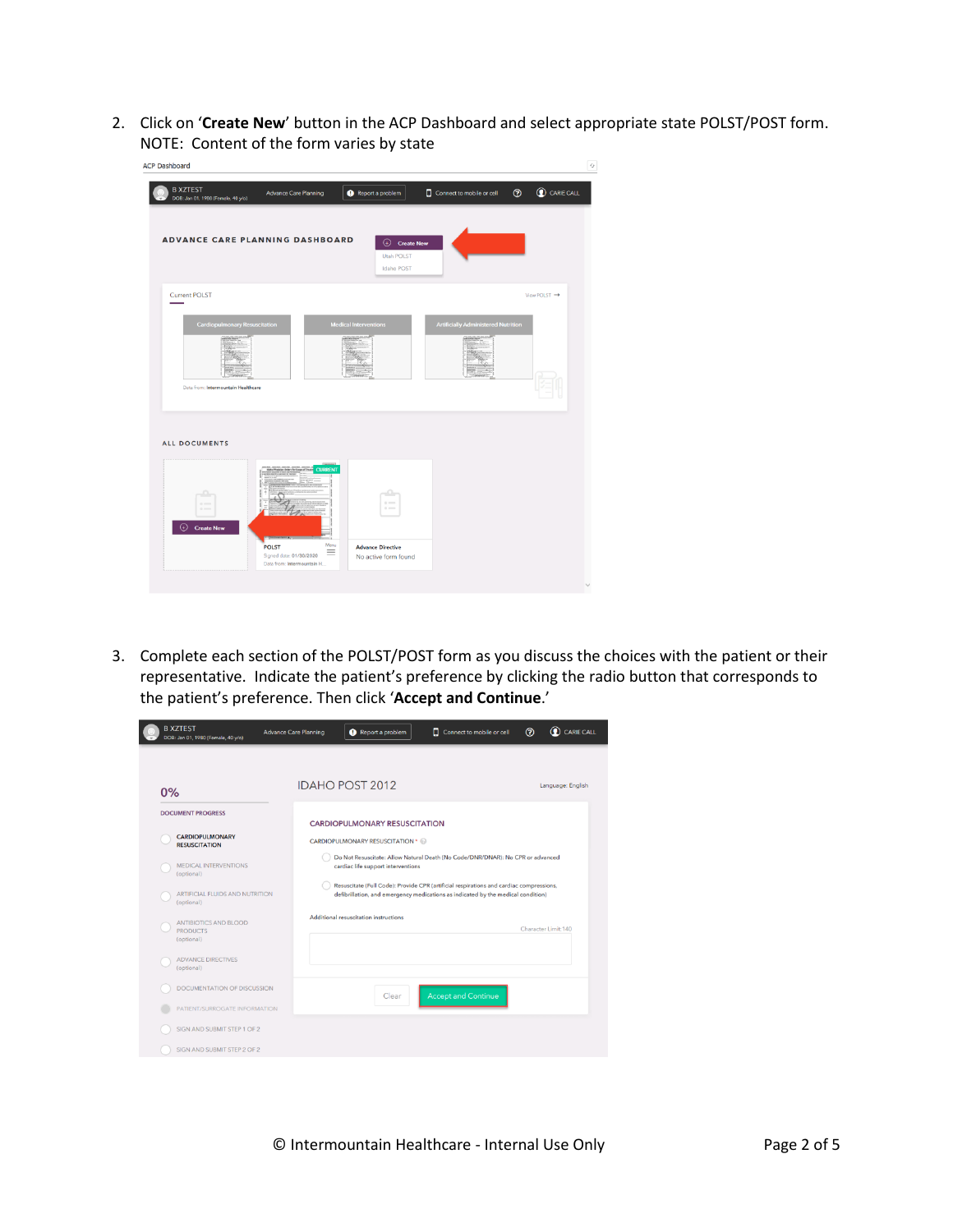2. Click on '**Create New**' button in the ACP Dashboard and select appropriate state POLST/POST form. NOTE: Content of the form varies by state

| <b>ACP Dashboard</b>                                  |                                                             |                                 |                                            |                            |
|-------------------------------------------------------|-------------------------------------------------------------|---------------------------------|--------------------------------------------|----------------------------|
| <b>B XZTEST</b><br>DOB: Jan 01, 1980 (Female, 40 y/o) | <b>Advance Care Planning</b>                                | Report a problem                | Connect to mobile or cell                  | C CARIE CALL<br>$^{\circ}$ |
|                                                       |                                                             |                                 |                                            |                            |
| <b>ADVANCE CARE PLANNING DASHBOARD</b>                |                                                             | $\bigoplus$ Create New          |                                            |                            |
|                                                       |                                                             | <b>Utah POLST</b><br>Idaho POST |                                            |                            |
|                                                       |                                                             |                                 |                                            |                            |
| <b>Current POLST</b>                                  |                                                             |                                 |                                            | View POLST →               |
| <b>Cardiopulmonary Resuscitation</b>                  |                                                             | <b>Medical Interventions</b>    | <b>Artificially Administered Nutrition</b> |                            |
|                                                       |                                                             |                                 |                                            |                            |
|                                                       |                                                             |                                 |                                            |                            |
| Data from: Intermountain Healthcare                   |                                                             |                                 |                                            |                            |
|                                                       |                                                             |                                 |                                            |                            |
|                                                       |                                                             |                                 |                                            |                            |
| <b>ALL DOCUMENTS</b>                                  |                                                             |                                 |                                            |                            |
|                                                       | <b>CURRENT</b>                                              |                                 |                                            |                            |
|                                                       |                                                             |                                 |                                            |                            |
| $\alpha$<br>$0 =$                                     |                                                             | $\circ$ -<br>$\sim$             |                                            |                            |
| ⊕<br><b>Create New</b>                                |                                                             |                                 |                                            |                            |
|                                                       | Menu<br><b>POLST</b><br>$\equiv$<br>Signed date: 01/30/2020 | <b>Advance Directive</b>        |                                            |                            |
|                                                       | Data from: Intermountain H                                  | No active form found            |                                            |                            |
|                                                       |                                                             |                                 |                                            |                            |

3. Complete each section of the POLST/POST form as you discuss the choices with the patient or their representative. Indicate the patient's preference by clicking the radio button that corresponds to the patient's preference. Then click '**Accept and Continue**.'

|    | DOB: Jan 01, 1980 (Female, 40 y/o)                     |                                        |                                                                                                                                                                             | $\odot$              |
|----|--------------------------------------------------------|----------------------------------------|-----------------------------------------------------------------------------------------------------------------------------------------------------------------------------|----------------------|
| 0% |                                                        | <b>IDAHO POST 2012</b>                 |                                                                                                                                                                             | Language: English    |
|    | <b>DOCUMENT PROGRESS</b>                               | <b>CARDIOPULMONARY RESUSCITATION</b>   |                                                                                                                                                                             |                      |
|    | <b>CARDIOPULMONARY</b><br><b>RESUSCITATION</b>         | <b>CARDIOPULMONARY RESUSCITATION *</b> |                                                                                                                                                                             |                      |
|    | <b>MEDICAL INTERVENTIONS</b><br>(optional)             | cardiac life support interventions     | Do Not Resuscitate: Allow Natural Death (No Code/DNR/DNAR): No CPR or advanced                                                                                              |                      |
|    | ARTIFICIAL FLUIDS AND NUTRITION<br>(optional)          |                                        | Resuscitate (Full Code): Provide CPR (artificial respirations and cardiac compressions,<br>defibrillation, and emergency medications as indicated by the medical condition) |                      |
|    | ANTIBIOTICS AND BLOOD<br><b>PRODUCTS</b><br>(optional) | Additional resuscitation instructions  |                                                                                                                                                                             | Character Limit: 140 |
|    | <b>ADVANCE DIRECTIVES</b><br>(optional)                |                                        |                                                                                                                                                                             |                      |
|    | DOCUMENTATION OF DISCUSSION                            | Clear                                  | <b>Accept and Continue</b>                                                                                                                                                  |                      |
|    | PATIENT/SURROGATE INFORMATION                          |                                        |                                                                                                                                                                             |                      |
|    | SIGN AND SUBMIT STEP 1 OF 2                            |                                        |                                                                                                                                                                             |                      |
|    | SIGN AND SUBMIT STEP 2 OF 2                            |                                        |                                                                                                                                                                             |                      |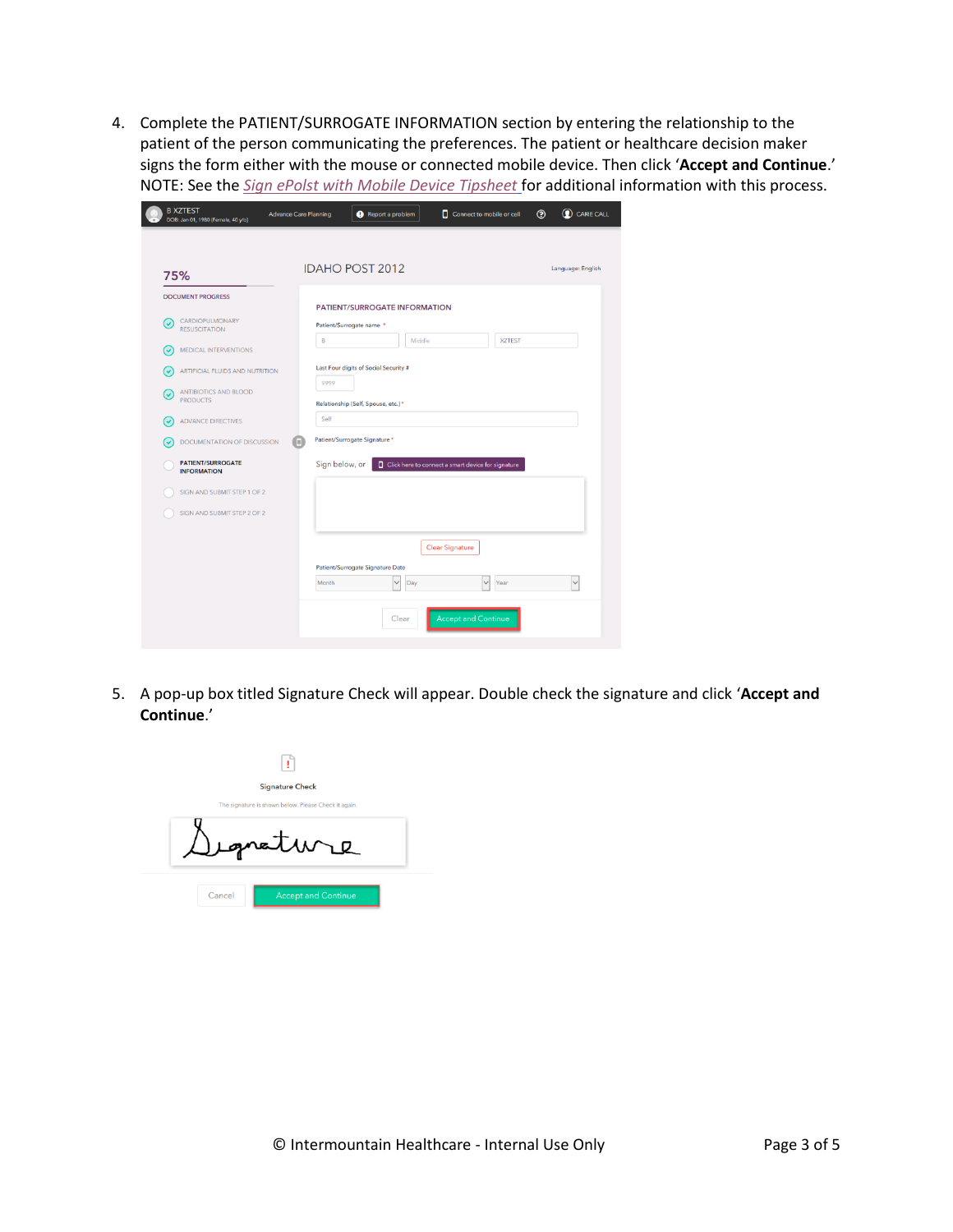4. Complete the PATIENT/SURROGATE INFORMATION section by entering the relationship to the patient of the person communicating the preferences. The patient or healthcare decision maker signs the form either with the mouse or connected mobile device. Then click '**Accept and Continue**.' NOTE: See the *[Sign ePolst with Mobile Device Tipsheet](https://ihchelp.info/acp/pdf/Sign-ePOLST-with-Mobile-Device.pdf)* for additional information with this process.

| 75%                                            | <b>IDAHO POST 2012</b><br>Language: English                            |
|------------------------------------------------|------------------------------------------------------------------------|
| <b>DOCUMENT PROGRESS</b>                       | <b>PATIENT/SURROGATE INFORMATION</b>                                   |
| CARDIOPULMONARY<br>(√<br><b>RESUSCITATION</b>  | Patient/Surrogate name *<br>B<br>Middle<br><b>XZTEST</b>               |
| MEDICAL INTERVENTIONS<br>(↓                    |                                                                        |
| ARTIFICIAL FLUIDS AND NUTRITION<br>ں ا         | Last Four digits of Social Security #<br>9999                          |
| ANTIBIOTICS AND BLOOD<br>(√<br><b>PRODUCTS</b> | Relationship (Self, Spouse, etc.)*                                     |
| <b>ADVANCE DIRECTIVES</b><br>(V                | Self                                                                   |
| DOCUMENTATION OF DISCUSSION                    | Patient/Surrogate Signature *<br>m                                     |
| <b>PATIENT/SURROGATE</b><br><b>INFORMATION</b> | Sign below, or<br>□ Click here to connect a smart device for signature |
| SIGN AND SUBMIT STEP 1 OF 2                    |                                                                        |
| SIGN AND SUBMIT STEP 2 OF 2                    |                                                                        |
|                                                | <b>Clear Signature</b>                                                 |
|                                                | Patient/Surrogate Signature Date                                       |
|                                                | Month<br>$\ddot{\phantom{0}}$<br>Day<br>$\checkmark$<br>Year<br>Ń      |

5. A pop-up box titled Signature Check will appear. Double check the signature and click '**Accept and Continue**.'

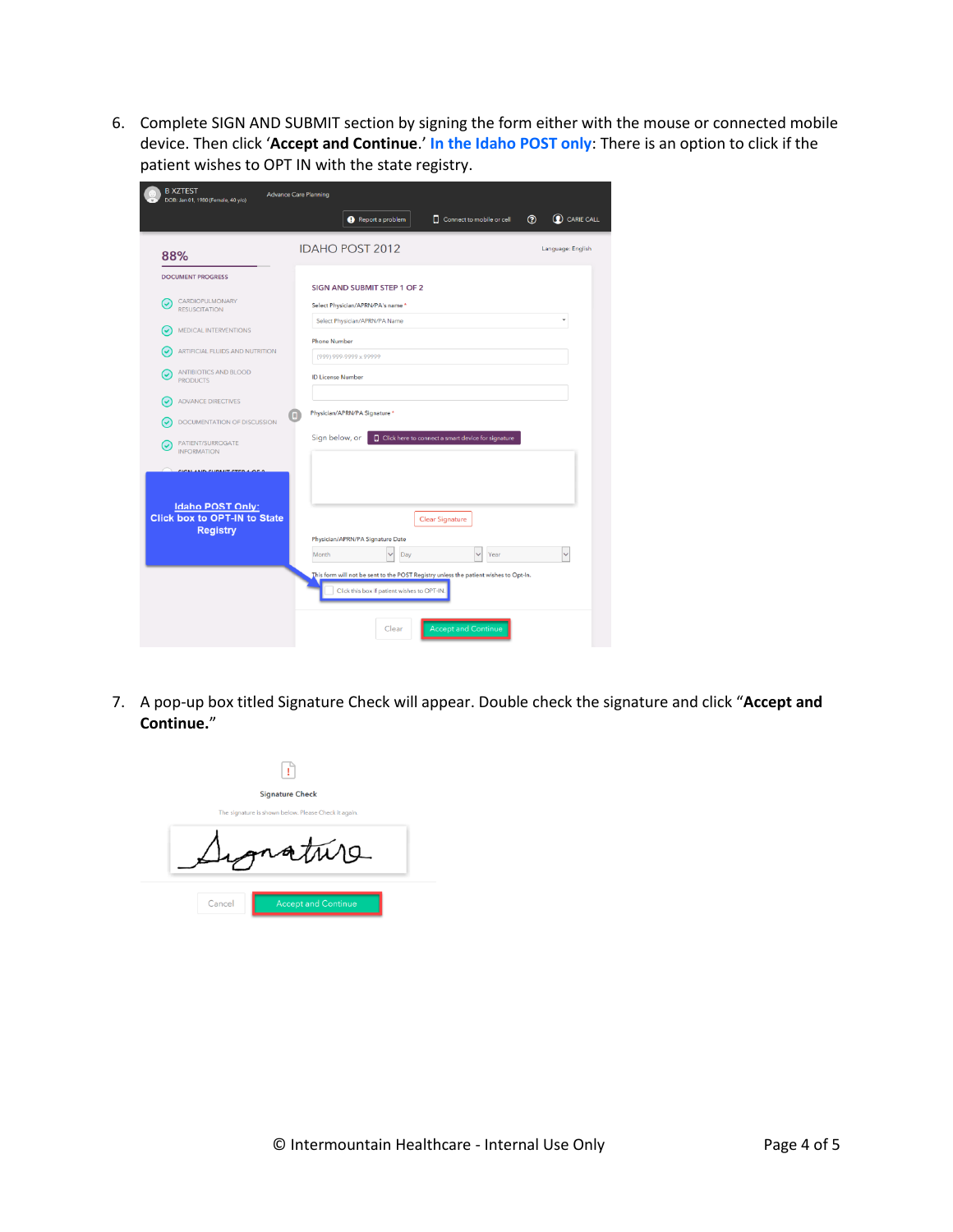6. Complete SIGN AND SUBMIT section by signing the form either with the mouse or connected mobile device. Then click '**Accept and Continue**.' **In the Idaho POST only**: There is an option to click if the patient wishes to OPT IN with the state registry.

|                                                     | C CARIE CALL<br>$\circledcirc$<br>Report a problem<br>Connect to mobile or cell                                                     |
|-----------------------------------------------------|-------------------------------------------------------------------------------------------------------------------------------------|
| 88%                                                 | <b>IDAHO POST 2012</b><br>Language: English                                                                                         |
| <b>DOCUMENT PROGRESS</b>                            | <b>SIGN AND SUBMIT STEP 1 OF 2</b>                                                                                                  |
| CARDIOPULMONARY<br><b>V</b><br><b>RESUSCITATION</b> | Select Physician/APRN/PA's name*                                                                                                    |
| MEDICAL INTERVENTIONS                               | Select Physician/APRN/PA Name                                                                                                       |
| ARTIFICIAL FLUIDS AND NUTRITION                     | <b>Phone Number</b><br>(999) 999-9999 x 99999                                                                                       |
| <b>ANTIBIOTICS AND BLOOD</b><br><b>PRODUCTS</b>     | <b>ID License Number</b>                                                                                                            |
| <b>ADVANCE DIRECTIVES</b>                           |                                                                                                                                     |
|                                                     |                                                                                                                                     |
| DOCUMENTATION OF DISCUSSION                         | Physician/APRN/PA Signature *<br>ο                                                                                                  |
| PATIENT/SURROGATE<br><b>INFORMATION</b>             | Sign below, or<br><b>Q</b> Click here to connect a smart device for signature                                                       |
| CICALAND CUBMIT CTEBA OF 3                          |                                                                                                                                     |
|                                                     |                                                                                                                                     |
| <b>Idaho POST Only:</b>                             | <b>Clear Signature</b>                                                                                                              |
| <b>Registry</b>                                     | Physician/APRN/PA Signature Date                                                                                                    |
| <b>Click box to OPT-IN to State</b>                 | Day<br>Year<br>Month                                                                                                                |
|                                                     | This form will not be sent to the POST Registry unless the patient wishes to Opt-In.<br>Click this box if patient wishes to OPT-IN. |

7. A pop-up box titled Signature Check will appear. Double check the signature and click "**Accept and Continue.**"